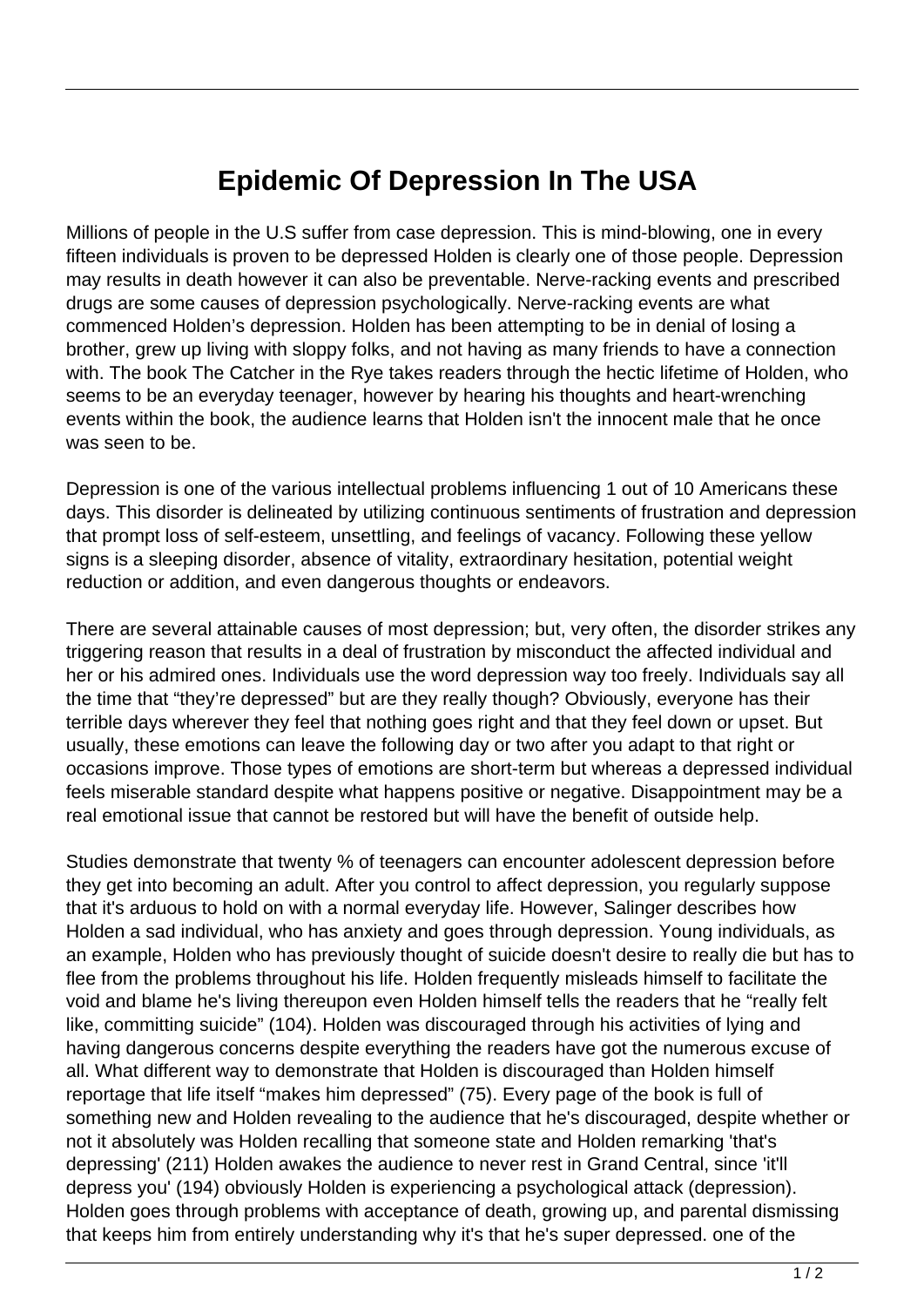## **Epidemic Of Depression In The USA**

Millions of people in the U.S suffer from case depression. This is mind-blowing, one in every fifteen individuals is proven to be depressed Holden is clearly one of those people. Depression may results in death however it can also be preventable. Nerve-racking events and prescribed drugs are some causes of depression psychologically. Nerve-racking events are what commenced Holden's depression. Holden has been attempting to be in denial of losing a brother, grew up living with sloppy folks, and not having as many friends to have a connection with. The book The Catcher in the Rye takes readers through the hectic lifetime of Holden, who seems to be an everyday teenager, however by hearing his thoughts and heart-wrenching events within the book, the audience learns that Holden isn't the innocent male that he once was seen to be.

Depression is one of the various intellectual problems influencing 1 out of 10 Americans these days. This disorder is delineated by utilizing continuous sentiments of frustration and depression that prompt loss of self-esteem, unsettling, and feelings of vacancy. Following these yellow signs is a sleeping disorder, absence of vitality, extraordinary hesitation, potential weight reduction or addition, and even dangerous thoughts or endeavors.

There are several attainable causes of most depression; but, very often, the disorder strikes any triggering reason that results in a deal of frustration by misconduct the affected individual and her or his admired ones. Individuals use the word depression way too freely. Individuals say all the time that "they're depressed" but are they really though? Obviously, everyone has their terrible days wherever they feel that nothing goes right and that they feel down or upset. But usually, these emotions can leave the following day or two after you adapt to that right or occasions improve. Those types of emotions are short-term but whereas a depressed individual feels miserable standard despite what happens positive or negative. Disappointment may be a real emotional issue that cannot be restored but will have the benefit of outside help.

Studies demonstrate that twenty % of teenagers can encounter adolescent depression before they get into becoming an adult. After you control to affect depression, you regularly suppose that it's arduous to hold on with a normal everyday life. However, Salinger describes how Holden a sad individual, who has anxiety and goes through depression. Young individuals, as an example, Holden who has previously thought of suicide doesn't desire to really die but has to flee from the problems throughout his life. Holden frequently misleads himself to facilitate the void and blame he's living thereupon even Holden himself tells the readers that he "really felt like, committing suicide" (104). Holden was discouraged through his activities of lying and having dangerous concerns despite everything the readers have got the numerous excuse of all. What different way to demonstrate that Holden is discouraged than Holden himself reportage that life itself "makes him depressed" (75). Every page of the book is full of something new and Holden revealing to the audience that he's discouraged, despite whether or not it absolutely was Holden recalling that someone state and Holden remarking 'that's depressing' (211) Holden awakes the audience to never rest in Grand Central, since 'it'll depress you' (194) obviously Holden is experiencing a psychological attack (depression). Holden goes through problems with acceptance of death, growing up, and parental dismissing that keeps him from entirely understanding why it's that he's super depressed. one of the